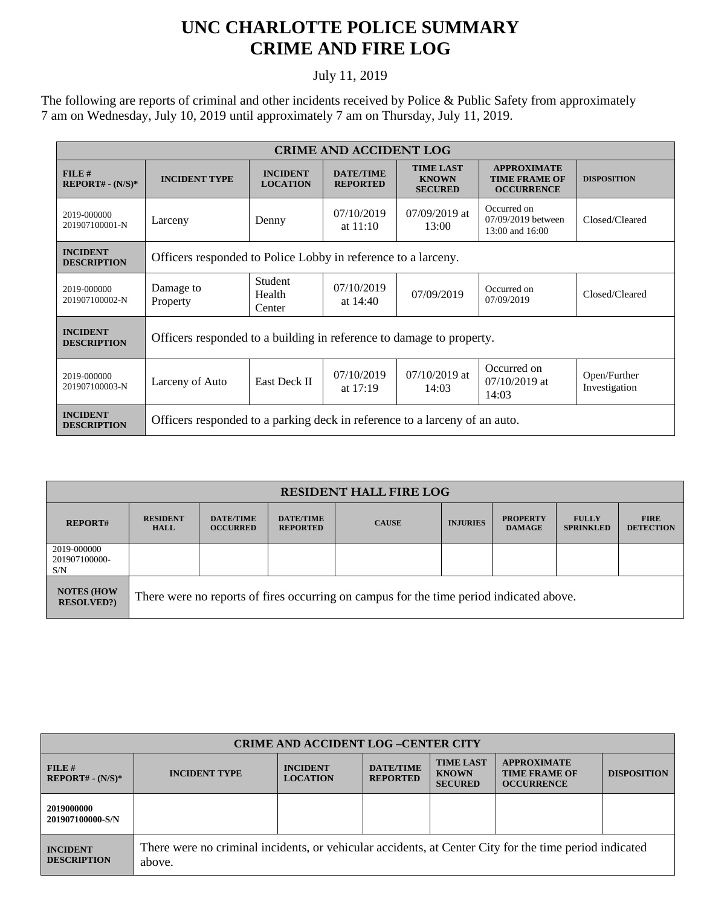## **UNC CHARLOTTE POLICE SUMMARY CRIME AND FIRE LOG**

## July 11, 2019

The following are reports of criminal and other incidents received by Police & Public Safety from approximately 7 am on Wednesday, July 10, 2019 until approximately 7 am on Thursday, July 11, 2019.

| <b>CRIME AND ACCIDENT LOG</b>         |                                                                            |                                    |                                     |                                                    |                                                                 |                               |  |
|---------------------------------------|----------------------------------------------------------------------------|------------------------------------|-------------------------------------|----------------------------------------------------|-----------------------------------------------------------------|-------------------------------|--|
| $FILE$ #<br>$REPORT# - (N/S)*$        | <b>INCIDENT TYPE</b>                                                       | <b>INCIDENT</b><br><b>LOCATION</b> | <b>DATE/TIME</b><br><b>REPORTED</b> | <b>TIME LAST</b><br><b>KNOWN</b><br><b>SECURED</b> | <b>APPROXIMATE</b><br><b>TIME FRAME OF</b><br><b>OCCURRENCE</b> | <b>DISPOSITION</b>            |  |
| 2019-000000<br>201907100001-N         | Larceny                                                                    | Denny                              | 07/10/2019<br>at $11:10$            | $07/09/2019$ at<br>13:00                           | Occurred on<br>07/09/2019 between<br>13:00 and 16:00            | Closed/Cleared                |  |
| <b>INCIDENT</b><br><b>DESCRIPTION</b> | Officers responded to Police Lobby in reference to a larceny.              |                                    |                                     |                                                    |                                                                 |                               |  |
| 2019-000000<br>201907100002-N         | Damage to<br>Property                                                      | Student<br>Health<br>Center        | 07/10/2019<br>at $14:40$            | 07/09/2019                                         | Occurred on<br>07/09/2019                                       | Closed/Cleared                |  |
| <b>INCIDENT</b><br><b>DESCRIPTION</b> | Officers responded to a building in reference to damage to property.       |                                    |                                     |                                                    |                                                                 |                               |  |
| 2019-000000<br>201907100003-N         | Larceny of Auto                                                            | East Deck II                       | 07/10/2019<br>at $17:19$            | $07/10/2019$ at<br>14:03                           | Occurred on<br>$07/10/2019$ at<br>14:03                         | Open/Further<br>Investigation |  |
| <b>INCIDENT</b><br><b>DESCRIPTION</b> | Officers responded to a parking deck in reference to a larceny of an auto. |                                    |                                     |                                                    |                                                                 |                               |  |

| <b>RESIDENT HALL FIRE LOG</b>          |                                                                                         |                                     |                                     |              |                 |                                  |                                  |                                 |
|----------------------------------------|-----------------------------------------------------------------------------------------|-------------------------------------|-------------------------------------|--------------|-----------------|----------------------------------|----------------------------------|---------------------------------|
| <b>REPORT#</b>                         | <b>RESIDENT</b><br><b>HALL</b>                                                          | <b>DATE/TIME</b><br><b>OCCURRED</b> | <b>DATE/TIME</b><br><b>REPORTED</b> | <b>CAUSE</b> | <b>INJURIES</b> | <b>PROPERTY</b><br><b>DAMAGE</b> | <b>FULLY</b><br><b>SPRINKLED</b> | <b>FIRE</b><br><b>DETECTION</b> |
| 2019-000000<br>201907100000-<br>S/N    |                                                                                         |                                     |                                     |              |                 |                                  |                                  |                                 |
| <b>NOTES (HOW</b><br><b>RESOLVED?)</b> | There were no reports of fires occurring on campus for the time period indicated above. |                                     |                                     |              |                 |                                  |                                  |                                 |

| <b>CRIME AND ACCIDENT LOG-CENTER CITY</b> |                                                                                                                  |                                    |                                     |                                                    |                                                                 |                    |  |
|-------------------------------------------|------------------------------------------------------------------------------------------------------------------|------------------------------------|-------------------------------------|----------------------------------------------------|-----------------------------------------------------------------|--------------------|--|
| FILE#<br>$REPORT# - (N/S)*$               | <b>INCIDENT TYPE</b>                                                                                             | <b>INCIDENT</b><br><b>LOCATION</b> | <b>DATE/TIME</b><br><b>REPORTED</b> | <b>TIME LAST</b><br><b>KNOWN</b><br><b>SECURED</b> | <b>APPROXIMATE</b><br><b>TIME FRAME OF</b><br><b>OCCURRENCE</b> | <b>DISPOSITION</b> |  |
| 2019000000<br>201907100000-S/N            |                                                                                                                  |                                    |                                     |                                                    |                                                                 |                    |  |
| <b>INCIDENT</b><br><b>DESCRIPTION</b>     | There were no criminal incidents, or vehicular accidents, at Center City for the time period indicated<br>above. |                                    |                                     |                                                    |                                                                 |                    |  |